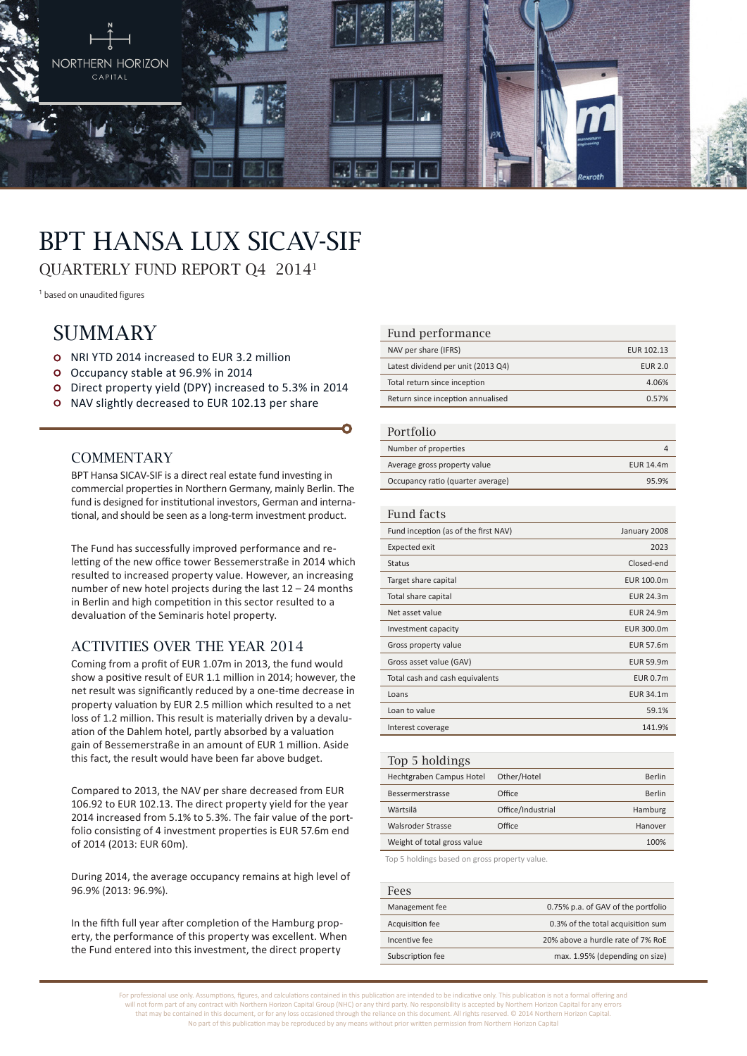

# BPT Hansa Lux SICAV-SIF

QUARTERLY FUND REPORT Q4 20141

<sup>1</sup> based on unaudited figures

# **SUMMARY**

- o NRI YTD 2014 increased to EUR 3.2 million
- Occupancy stable at 96.9% in 2014
- Direct property yield (DPY) increased to 5.3% in 2014
- o NAV slightly decreased to EUR 102.13 per share

#### **COMMENTARY**

BPT Hansa SICAV-SIF is a direct real estate fund investing in commercial properties in Northern Germany, mainly Berlin. The fund is designed for institutional investors, German and international, and should be seen as a long-term investment product.

The Fund has successfully improved performance and reletting of the new office tower Bessemerstraße in 2014 which resulted to increased property value. However, an increasing number of new hotel projects during the last 12 – 24 months in Berlin and high competition in this sector resulted to a devaluation of the Seminaris hotel property.

### Activities over the year 2014

Coming from a profit of EUR 1.07m in 2013, the fund would show a positive result of EUR 1.1 million in 2014; however, the net result was significantly reduced by a one-time decrease in property valuation by EUR 2.5 million which resulted to a net loss of 1.2 million. This result is materially driven by a devaluation of the Dahlem hotel, partly absorbed by a valuation gain of Bessemerstraße in an amount of EUR 1 million. Aside this fact, the result would have been far above budget.

Compared to 2013, the NAV per share decreased from EUR 106.92 to EUR 102.13. The direct property yield for the year 2014 increased from 5.1% to 5.3%. The fair value of the portfolio consisting of 4 investment properties is EUR 57.6m end of 2014 (2013: EUR 60m).

During 2014, the average occupancy remains at high level of 96.9% (2013: 96.9%).

In the fifth full year after completion of the Hamburg property, the performance of this property was excellent. When the Fund entered into this investment, the direct property

#### Fund performance

| NAV per share (IFRS)               | EUR 102.13     |
|------------------------------------|----------------|
| Latest dividend per unit (2013 Q4) | <b>EUR 2.0</b> |
| Total return since inception       | 4.06%          |
| Return since inception annualised  | 0.57%          |

#### Portfolio

| T OT LLOTTO                       |           |
|-----------------------------------|-----------|
| Number of properties              |           |
| Average gross property value      | EUR 14.4m |
| Occupancy ratio (quarter average) | 95.9%     |

#### Fund facts

| Fund inception (as of the first NAV) | January 2008     |
|--------------------------------------|------------------|
| <b>Expected exit</b>                 | 2023             |
| <b>Status</b>                        | Closed-end       |
| Target share capital                 | EUR 100.0m       |
| Total share capital                  | <b>EUR 24.3m</b> |
| Net asset value                      | <b>EUR 24.9m</b> |
| Investment capacity                  | EUR 300.0m       |
| Gross property value                 | <b>EUR 57.6m</b> |
| Gross asset value (GAV)              | <b>EUR 59.9m</b> |
| Total cash and cash equivalents      | <b>EUR 0.7m</b>  |
| Loans                                | EUR 34.1m        |
| Loan to value                        | 59.1%            |
| Interest coverage                    | 141.9%           |
|                                      |                  |

| Top 5 holdings              |                   |         |
|-----------------------------|-------------------|---------|
| Hechtgraben Campus Hotel    | Other/Hotel       | Berlin  |
| Bessermerstrasse            | Office            | Berlin  |
| Wärtsilä                    | Office/Industrial | Hamburg |
| Walsroder Strasse           | Office            | Hanover |
| Weight of total gross value |                   | 100%    |
|                             |                   |         |

Top 5 holdings based on gross property value.

| Fees             |                                    |
|------------------|------------------------------------|
| Management fee   | 0.75% p.a. of GAV of the portfolio |
| Acquisition fee  | 0.3% of the total acquisition sum  |
| Incentive fee    | 20% above a hurdle rate of 7% RoE  |
| Subscription fee | max. 1.95% (depending on size)     |

For professional use only. Assumptions, figures, and calculations contained in this publication are intended to be indicative only. This publication is not a formal offering and will not form part of any contract with Northern Horizon Capital Group (NHC) or any third party. No responsibility is accepted by Northern Horizon Capital for any errors that may be contained in this document, or for any loss occasioned through the reliance on this document. All rights reserved. © 2014 Northern Horizon Capital. No part of this publication may be reproduced by any means without prior written permission from Northern Horizon Capital